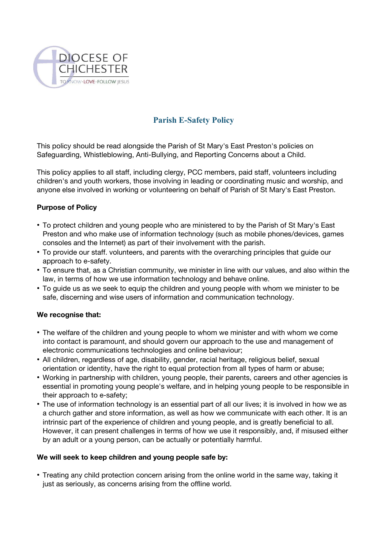

## **Parish E-Safety Policy**

This policy should be read alongside the Parish of St Mary's East Preston's policies on Safeguarding, Whistleblowing, Anti-Bullying, and Reporting Concerns about a Child.

This policy applies to all staff, including clergy, PCC members, paid staff, volunteers including children's and youth workers, those involving in leading or coordinating music and worship, and anyone else involved in working or volunteering on behalf of Parish of St Mary's East Preston.

## **Purpose of Policy**

- To protect children and young people who are ministered to by the Parish of St Mary's East Preston and who make use of information technology (such as mobile phones/devices, games consoles and the Internet) as part of their involvement with the parish.
- To provide our staff. volunteers, and parents with the overarching principles that guide our approach to e-safety.
- To ensure that, as a Christian community, we minister in line with our values, and also within the law, in terms of how we use information technology and behave online.
- To guide us as we seek to equip the children and young people with whom we minister to be safe, discerning and wise users of information and communication technology.

## **We recognise that:**

- The welfare of the children and young people to whom we minister and with whom we come into contact is paramount, and should govern our approach to the use and management of electronic communications technologies and online behaviour;
- All children, regardless of age, disability, gender, racial heritage, religious belief, sexual orientation or identity, have the right to equal protection from all types of harm or abuse;
- Working in partnership with children, young people, their parents, careers and other agencies is essential in promoting young people's welfare, and in helping young people to be responsible in their approach to e-safety;
- The use of information technology is an essential part of all our lives; it is involved in how we as a church gather and store information, as well as how we communicate with each other. It is an intrinsic part of the experience of children and young people, and is greatly beneficial to all. However, it can present challenges in terms of how we use it responsibly, and, if misused either by an adult or a young person, can be actually or potentially harmful.

## **We will seek to keep children and young people safe by:**

• Treating any child protection concern arising from the online world in the same way, taking it just as seriously, as concerns arising from the offline world.